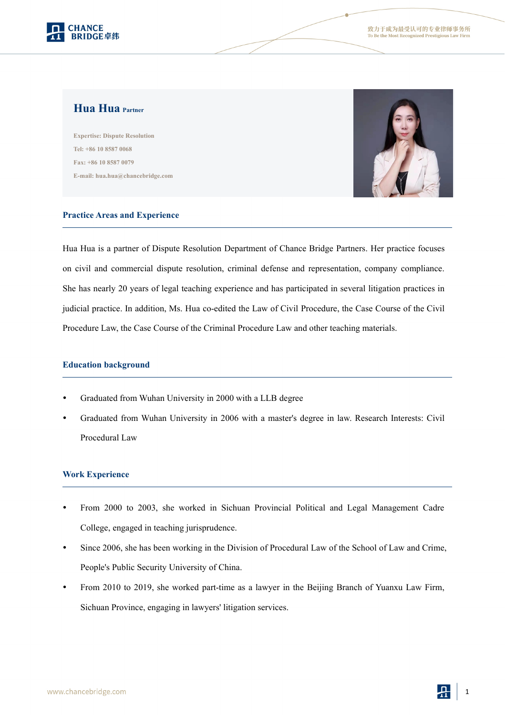

# **Hua Hua Partner**

**Expertise: Dispute Resolution Tel: +86 10 8587 0068 Fax: +86 10 8587 0079 E-mail: hua.hua@chancebridge.com**



#### **Practice Areas and Experience**

Hua Hua is a partner of Dispute Resolution Department of Chance Bridge Partners. Her practice focuses on civil and commercial dispute resolution, criminal defense and representation, company compliance. She has nearly 20 years of legal teaching experience and has participated in several litigation practices in judicial practice. In addition, Ms. Hua co-edited the Law of Civil Procedure, the Case Course of the Civil Procedure Law, the Case Course of the Criminal Procedure Law and other teaching materials.

#### **Education background**

- Graduated from Wuhan University in 2000 with a LLB degree
- Graduated from Wuhan University in 2006 with a master's degree in law. Research Interests: Civil Procedural Law

### **Work Experience**

- From 2000 to 2003, she worked in Sichuan Provincial Political and Legal Management Cadre College, engaged in teaching jurisprudence.
- Since 2006, she has been working in the Division of Procedural Law of the School of Law and Crime, People's Public Security University of China.
- From 2010 to 2019, she worked part-time as a lawyer in the Beijing Branch of Yuanxu Law Firm,<br>Sichuan Province, engaging in lawyers' litigation services.